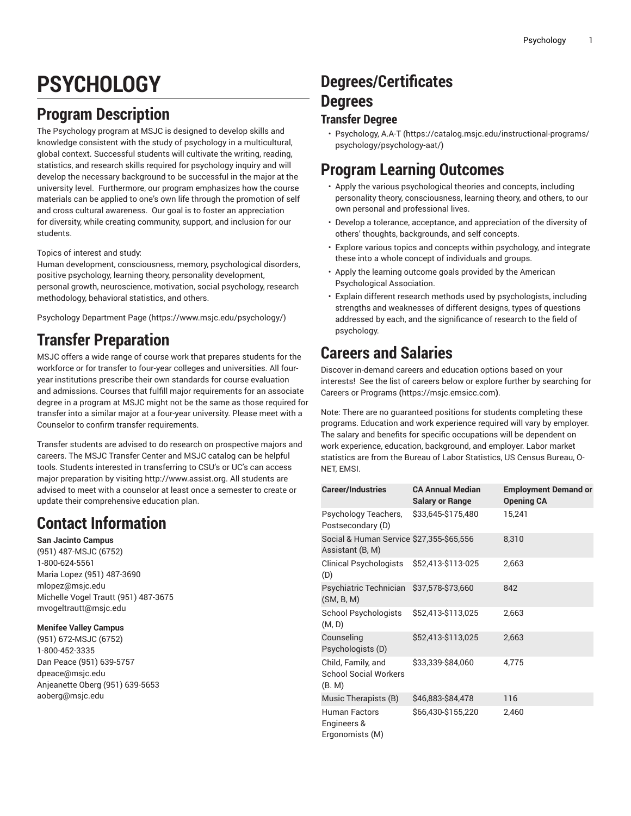# **PSYCHOLOGY**

# **Program Description**

The Psychology program at MSJC is designed to develop skills and knowledge consistent with the study of psychology in a multicultural, global context. Successful students will cultivate the writing, reading, statistics, and research skills required for psychology inquiry and will develop the necessary background to be successful in the major at the university level. Furthermore, our program emphasizes how the course materials can be applied to one's own life through the promotion of self and cross cultural awareness. Our goal is to foster an appreciation for diversity, while creating community, support, and inclusion for our students.

Topics of interest and study:

Human development, consciousness, memory, psychological disorders, positive psychology, learning theory, personality development, personal growth, neuroscience, motivation, social psychology, research methodology, behavioral statistics, and others.

Psychology [Department](https://www.msjc.edu/psychology/) Page [\(https://www.msjc.edu/psychology/\)](https://www.msjc.edu/psychology/)

# **Transfer Preparation**

MSJC offers a wide range of course work that prepares students for the workforce or for transfer to four-year colleges and universities. All fouryear institutions prescribe their own standards for course evaluation and admissions. Courses that fulfill major requirements for an associate degree in a program at MSJC might not be the same as those required for transfer into a similar major at a four-year university. Please meet with a Counselor to confirm transfer requirements.

Transfer students are advised to do research on prospective majors and careers. The MSJC Transfer Center and MSJC catalog can be helpful tools. Students interested in transferring to CSU's or UC's can access major preparation by visiting <http://www.assist.org>. All students are advised to meet with a counselor at least once a semester to create or update their comprehensive education plan.

# **Contact Information**

**San Jacinto Campus** (951) 487-MSJC (6752) 1-800-624-5561 Maria Lopez (951) 487-3690 [mlopez@msjc.edu](mailto:mlopez@msjc.edu) Michelle Vogel Trautt (951) 487-3675 [mvogeltrautt@msjc.edu](mailto:mvogeltrautt@msjc.edu)

### **Menifee Valley Campus**

(951) 672-MSJC (6752) 1-800-452-3335 Dan Peace (951) 639-5757 [dpeace@msjc.edu](mailto:dpeace@msjc.edu) Anjeanette Oberg (951) 639-5653 [aoberg@msjc.edu](mailto:aoberg@msjc.edu)

# **Degrees/Certificates Degrees**

### **Transfer Degree**

• [Psychology,](https://catalog.msjc.edu/instructional-programs/psychology/psychology-aat/) A.A-T [\(https://catalog.msjc.edu/instructional-programs/](https://catalog.msjc.edu/instructional-programs/psychology/psychology-aat/) [psychology/psychology-aat/](https://catalog.msjc.edu/instructional-programs/psychology/psychology-aat/))

### **Program Learning Outcomes**

- Apply the various psychological theories and concepts, including personality theory, consciousness, learning theory, and others, to our own personal and professional lives.
- Develop a tolerance, acceptance, and appreciation of the diversity of others' thoughts, backgrounds, and self concepts.
- Explore various topics and concepts within psychology, and integrate these into a whole concept of individuals and groups.
- Apply the learning outcome goals provided by the American Psychological Association.
- Explain different research methods used by psychologists, including strengths and weaknesses of different designs, types of questions addressed by each, and the significance of research to the field of psychology.

# **Careers and Salaries**

Discover in-demand careers and education options based on your interests! See the list of careers below or explore further by searching for Careers or [Programs](https://msjc.emsicc.com) **(**<https://msjc.emsicc.com>**)**.

Note: There are no guaranteed positions for students completing these programs. Education and work experience required will vary by employer. The salary and benefits for specific occupations will be dependent on work experience, education, background, and employer. Labor market statistics are from the Bureau of Labor Statistics, US Census Bureau, O-NET, EMSI.

| <b>Career/Industries</b>                                     | <b>CA Annual Median</b><br><b>Salary or Range</b> | <b>Employment Demand or</b><br><b>Opening CA</b> |
|--------------------------------------------------------------|---------------------------------------------------|--------------------------------------------------|
| Psychology Teachers,<br>Postsecondary (D)                    | \$33,645-\$175,480                                | 15,241                                           |
| Social & Human Service \$27,355-\$65,556<br>Assistant (B, M) |                                                   | 8,310                                            |
| Clinical Psychologists<br>(D)                                | \$52,413-\$113-025                                | 2,663                                            |
| Psychiatric Technician<br>(SM, B, M)                         | \$37,578-\$73,660                                 | 842                                              |
| <b>School Psychologists</b><br>(M, D)                        | \$52,413-\$113,025                                | 2,663                                            |
| Counseling<br>Psychologists (D)                              | \$52,413-\$113,025                                | 2,663                                            |
| Child, Family, and<br><b>School Social Workers</b><br>(B. M) | \$33,339-\$84,060                                 | 4,775                                            |
| Music Therapists (B)                                         | \$46,883-\$84,478                                 | 116                                              |
| <b>Human Factors</b><br>Engineers &<br>Ergonomists (M)       | \$66,430-\$155,220                                | 2,460                                            |